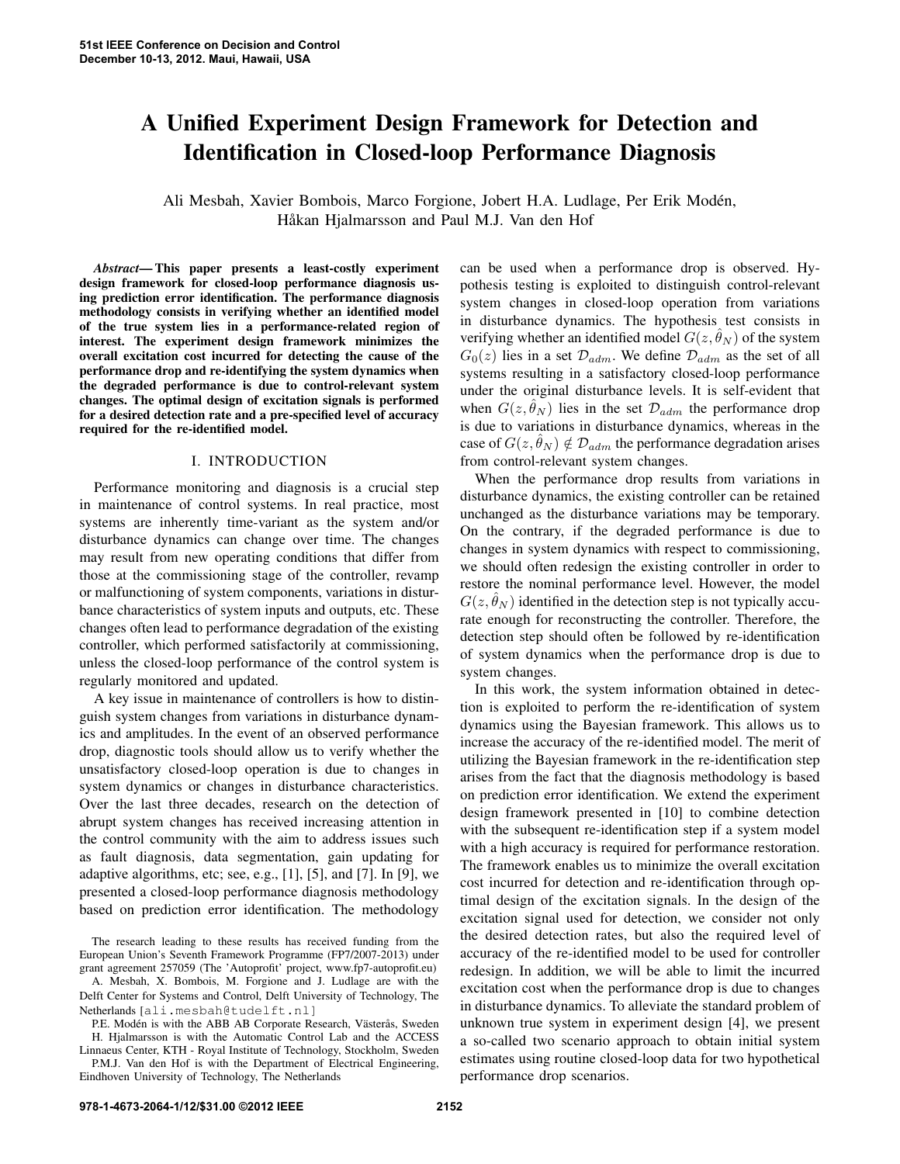# A Unified Experiment Design Framework for Detection and Identification in Closed-loop Performance Diagnosis

Ali Mesbah, Xavier Bombois, Marco Forgione, Jobert H.A. Ludlage, Per Erik Moden, ´ Håkan Hjalmarsson and Paul M.J. Van den Hof

*Abstract*— This paper presents a least-costly experiment design framework for closed-loop performance diagnosis using prediction error identification. The performance diagnosis methodology consists in verifying whether an identified model of the true system lies in a performance-related region of interest. The experiment design framework minimizes the overall excitation cost incurred for detecting the cause of the performance drop and re-identifying the system dynamics when the degraded performance is due to control-relevant system changes. The optimal design of excitation signals is performed for a desired detection rate and a pre-specified level of accuracy required for the re-identified model.

### I. INTRODUCTION

Performance monitoring and diagnosis is a crucial step in maintenance of control systems. In real practice, most systems are inherently time-variant as the system and/or disturbance dynamics can change over time. The changes may result from new operating conditions that differ from those at the commissioning stage of the controller, revamp or malfunctioning of system components, variations in disturbance characteristics of system inputs and outputs, etc. These changes often lead to performance degradation of the existing controller, which performed satisfactorily at commissioning, unless the closed-loop performance of the control system is regularly monitored and updated.

A key issue in maintenance of controllers is how to distinguish system changes from variations in disturbance dynamics and amplitudes. In the event of an observed performance drop, diagnostic tools should allow us to verify whether the unsatisfactory closed-loop operation is due to changes in system dynamics or changes in disturbance characteristics. Over the last three decades, research on the detection of abrupt system changes has received increasing attention in the control community with the aim to address issues such as fault diagnosis, data segmentation, gain updating for adaptive algorithms, etc; see, e.g., [1], [5], and [7]. In [9], we presented a closed-loop performance diagnosis methodology based on prediction error identification. The methodology can be used when a performance drop is observed. Hypothesis testing is exploited to distinguish control-relevant system changes in closed-loop operation from variations in disturbance dynamics. The hypothesis test consists in verifying whether an identified model  $G(z, \theta_N)$  of the system  $G_0(z)$  lies in a set  $\mathcal{D}_{adm}$ . We define  $\mathcal{D}_{adm}$  as the set of all systems resulting in a satisfactory closed-loop performance under the original disturbance levels. It is self-evident that when  $G(z, \hat{\theta}_N)$  lies in the set  $\mathcal{D}_{adm}$  the performance drop is due to variations in disturbance dynamics, whereas in the case of  $G(z, \hat{\theta}_N) \notin \mathcal{D}_{adm}$  the performance degradation arises from control-relevant system changes.

When the performance drop results from variations in disturbance dynamics, the existing controller can be retained unchanged as the disturbance variations may be temporary. On the contrary, if the degraded performance is due to changes in system dynamics with respect to commissioning, we should often redesign the existing controller in order to restore the nominal performance level. However, the model  $G(z, \theta_N)$  identified in the detection step is not typically accurate enough for reconstructing the controller. Therefore, the detection step should often be followed by re-identification of system dynamics when the performance drop is due to system changes.

In this work, the system information obtained in detection is exploited to perform the re-identification of system dynamics using the Bayesian framework. This allows us to increase the accuracy of the re-identified model. The merit of utilizing the Bayesian framework in the re-identification step arises from the fact that the diagnosis methodology is based on prediction error identification. We extend the experiment design framework presented in [10] to combine detection with the subsequent re-identification step if a system model with a high accuracy is required for performance restoration. The framework enables us to minimize the overall excitation cost incurred for detection and re-identification through optimal design of the excitation signals. In the design of the excitation signal used for detection, we consider not only the desired detection rates, but also the required level of accuracy of the re-identified model to be used for controller redesign. In addition, we will be able to limit the incurred excitation cost when the performance drop is due to changes in disturbance dynamics. To alleviate the standard problem of unknown true system in experiment design [4], we present a so-called two scenario approach to obtain initial system estimates using routine closed-loop data for two hypothetical performance drop scenarios.

The research leading to these results has received funding from the European Union's Seventh Framework Programme (FP7/2007-2013) under grant agreement 257059 (The 'Autoprofit' project, www.fp7-autoprofit.eu)

A. Mesbah, X. Bombois, M. Forgione and J. Ludlage are with the Delft Center for Systems and Control, Delft University of Technology, The Netherlands [ali.mesbah@tudelft.nl]

P.E. Modén is with the ABB AB Corporate Research, Västerås, Sweden H. Hjalmarsson is with the Automatic Control Lab and the ACCESS

Linnaeus Center, KTH - Royal Institute of Technology, Stockholm, Sweden P.M.J. Van den Hof is with the Department of Electrical Engineering, Eindhoven University of Technology, The Netherlands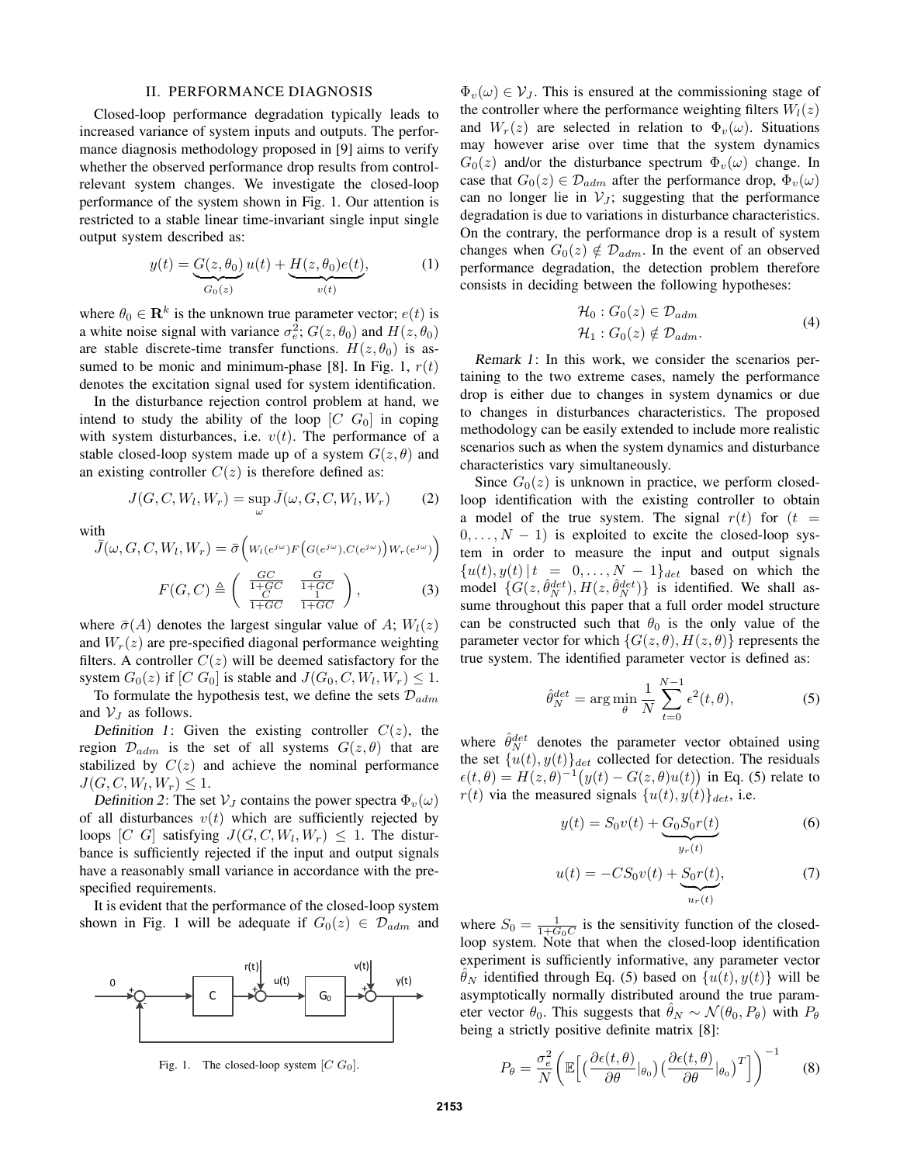#### II. PERFORMANCE DIAGNOSIS

Closed-loop performance degradation typically leads to increased variance of system inputs and outputs. The performance diagnosis methodology proposed in [9] aims to verify whether the observed performance drop results from controlrelevant system changes. We investigate the closed-loop performance of the system shown in Fig. 1. Our attention is restricted to a stable linear time-invariant single input single output system described as:

$$
y(t) = \underbrace{G(z, \theta_0)}_{G_0(z)} u(t) + \underbrace{H(z, \theta_0)e(t)}_{v(t)},
$$
 (1)

where  $\theta_0 \in \mathbf{R}^k$  is the unknown true parameter vector;  $e(t)$  is a white noise signal with variance  $\sigma_e^2$ ;  $G(z, \theta_0)$  and  $H(z, \theta_0)$ are stable discrete-time transfer functions.  $H(z, \theta_0)$  is assumed to be monic and minimum-phase [8]. In Fig. 1,  $r(t)$ denotes the excitation signal used for system identification.

In the disturbance rejection control problem at hand, we intend to study the ability of the loop  $[C G_0]$  in coping with system disturbances, i.e.  $v(t)$ . The performance of a stable closed-loop system made up of a system  $G(z, \theta)$  and an existing controller  $C(z)$  is therefore defined as:

$$
J(G, C, W_l, W_r) = \sup_{\omega} \bar{J}(\omega, G, C, W_l, W_r)
$$
 (2)

with

$$
\bar{J}(\omega, G, C, W_l, W_r) = \bar{\sigma} \left( W_l(e^{j\omega}) F\left( G(e^{j\omega}), C(e^{j\omega}) \right) W_r(e^{j\omega}) \right)
$$

$$
F(G, G) \triangleq \left( \frac{GC}{1+GC} \frac{G}{1+GC} \right)
$$

$$
F(G, C) \triangleq \left( \begin{array}{cc} \frac{\sqrt{C}}{1+GC} & \frac{\sqrt{C}}{1+GC} \\ \frac{C}{1+GC} & \frac{1}{1+GC} \end{array} \right), \tag{3}
$$

where  $\bar{\sigma}(A)$  denotes the largest singular value of A;  $W_l(z)$ and  $W_r(z)$  are pre-specified diagonal performance weighting filters. A controller  $C(z)$  will be deemed satisfactory for the system  $G_0(z)$  if  $[C G_0]$  is stable and  $J(G_0, C, W_l, W_r) \leq 1$ .

To formulate the hypothesis test, we define the sets  $\mathcal{D}_{adm}$ and  $V_J$  as follows.

Definition 1: Given the existing controller  $C(z)$ , the region  $\mathcal{D}_{adm}$  is the set of all systems  $G(z, \theta)$  that are stabilized by  $C(z)$  and achieve the nominal performance  $J(G, C, W_l, W_r) \leq 1.$ 

Definition 2: The set  $V_J$  contains the power spectra  $\Phi_{\nu}(\omega)$ of all disturbances  $v(t)$  which are sufficiently rejected by loops [C G] satisfying  $J(G, C, W_l, W_r) \leq 1$ . The disturbance is sufficiently rejected if the input and output signals have a reasonably small variance in accordance with the prespecified requirements.

It is evident that the performance of the closed-loop system shown in Fig. 1 will be adequate if  $G_0(z) \in \mathcal{D}_{adm}$  and



Fig. 1. The closed-loop system  $[C G_0]$ .

 $\Phi_{\nu}(\omega) \in V_I$ . This is ensured at the commissioning stage of the controller where the performance weighting filters  $W_l(z)$ and  $W_r(z)$  are selected in relation to  $\Phi_{\nu}(\omega)$ . Situations may however arise over time that the system dynamics  $G_0(z)$  and/or the disturbance spectrum  $\Phi_v(\omega)$  change. In case that  $G_0(z) \in \mathcal{D}_{adm}$  after the performance drop,  $\Phi_v(\omega)$ can no longer lie in  $V_J$ ; suggesting that the performance degradation is due to variations in disturbance characteristics. On the contrary, the performance drop is a result of system changes when  $G_0(z) \notin \mathcal{D}_{adm}$ . In the event of an observed performance degradation, the detection problem therefore consists in deciding between the following hypotheses:

$$
\mathcal{H}_0: G_0(z) \in \mathcal{D}_{adm} \mathcal{H}_1: G_0(z) \notin \mathcal{D}_{adm}.
$$
\n(4)

Remark 1: In this work, we consider the scenarios pertaining to the two extreme cases, namely the performance drop is either due to changes in system dynamics or due to changes in disturbances characteristics. The proposed methodology can be easily extended to include more realistic scenarios such as when the system dynamics and disturbance characteristics vary simultaneously.

Since  $G_0(z)$  is unknown in practice, we perform closedloop identification with the existing controller to obtain a model of the true system. The signal  $r(t)$  for  $(t =$  $0, \ldots, N - 1$ ) is exploited to excite the closed-loop system in order to measure the input and output signals  ${u(t), y(t) | t = 0, \ldots, N-1}_{det}$  based on which the model  $\{G(z, \hat{\theta}_{N}^{det}), H(z, \hat{\theta}_{N}^{det})\}$  is identified. We shall assume throughout this paper that a full order model structure can be constructed such that  $\theta_0$  is the only value of the parameter vector for which  $\{G(z, \theta), H(z, \theta)\}\)$  represents the true system. The identified parameter vector is defined as:

$$
\hat{\theta}_N^{det} = \arg\min_{\theta} \frac{1}{N} \sum_{t=0}^{N-1} \epsilon^2(t, \theta), \tag{5}
$$

where  $\hat{\theta}_{N}^{det}$  denotes the parameter vector obtained using the set  $\{u(t), y(t)\}_{det}$  collected for detection. The residuals  $\epsilon(t, \theta) = H(z, \theta)^{-1} (y(t) - G(z, \theta)u(t))$  in Eq. (5) relate to  $r(t)$  via the measured signals  $\{u(t), y(t)\}_{det}$ , i.e.

$$
y(t) = S_0 v(t) + \underbrace{G_0 S_0 r(t)}_{y_r(t)}
$$
(6)

$$
u(t) = -CS_0v(t) + \underbrace{S_0r(t)}_{u_r(t)},
$$
\n(7)

where  $S_0 = \frac{1}{1+G_0C}$  is the sensitivity function of the closedloop system. Note that when the closed-loop identification experiment is sufficiently informative, any parameter vector  $\hat{\theta}_N$  identified through Eq. (5) based on  $\{u(t), y(t)\}\$  will be asymptotically normally distributed around the true parameter vector  $\theta_0$ . This suggests that  $\hat{\theta}_N \sim \mathcal{N}(\theta_0, P_\theta)$  with  $P_\theta$ being a strictly positive definite matrix [8]:

$$
P_{\theta} = \frac{\sigma_e^2}{N} \left( \mathbb{E} \left[ \left( \frac{\partial \epsilon(t, \theta)}{\partial \theta} |_{\theta_0} \right) \left( \frac{\partial \epsilon(t, \theta)}{\partial \theta} |_{\theta_0} \right)^T \right] \right)^{-1} \tag{8}
$$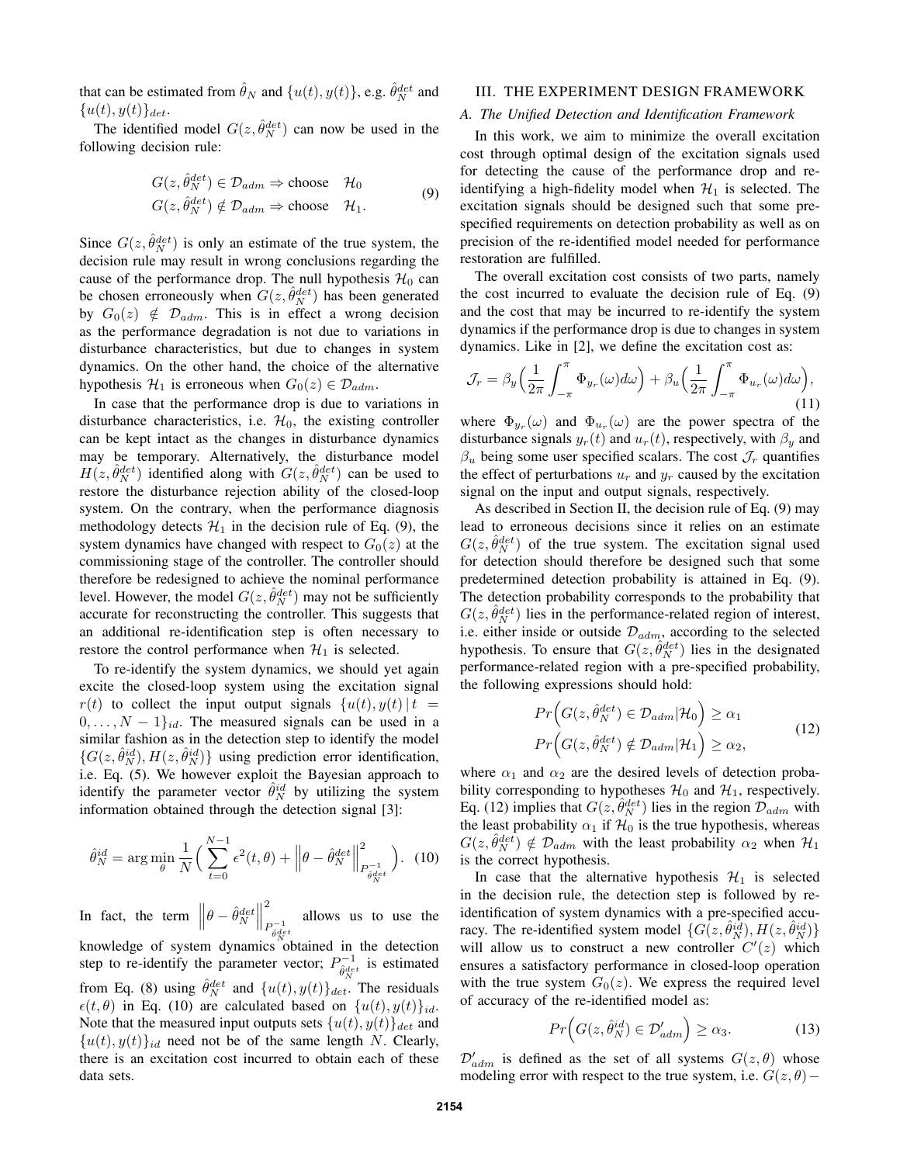that can be estimated from  $\hat{\theta}_N$  and  $\{u(t), y(t)\}$ , e.g.  $\hat{\theta}_N^{det}$  and  ${u(t), y(t)}_{det}.$ 

The identified model  $G(z, \hat{\theta}_{N}^{det})$  can now be used in the following decision rule:

$$
G(z, \hat{\theta}_N^{det}) \in \mathcal{D}_{adm} \Rightarrow \text{choose } \mathcal{H}_0
$$
  

$$
G(z, \hat{\theta}_N^{det}) \notin \mathcal{D}_{adm} \Rightarrow \text{choose } \mathcal{H}_1.
$$
 (9)

Since  $G(z, \hat{\theta}_{N}^{det})$  is only an estimate of the true system, the decision rule may result in wrong conclusions regarding the cause of the performance drop. The null hypothesis  $\mathcal{H}_0$  can be chosen erroneously when  $G(z, \hat{\theta}_{N}^{det})$  has been generated by  $G_0(z) \notin \mathcal{D}_{adm}$ . This is in effect a wrong decision as the performance degradation is not due to variations in disturbance characteristics, but due to changes in system dynamics. On the other hand, the choice of the alternative hypothesis  $\mathcal{H}_1$  is erroneous when  $G_0(z) \in \mathcal{D}_{adm}$ .

In case that the performance drop is due to variations in disturbance characteristics, i.e.  $\mathcal{H}_0$ , the existing controller can be kept intact as the changes in disturbance dynamics may be temporary. Alternatively, the disturbance model  $H(z, \hat{\theta}_{N}^{det})$  identified along with  $G(z, \hat{\theta}_{N}^{det})$  can be used to restore the disturbance rejection ability of the closed-loop system. On the contrary, when the performance diagnosis methodology detects  $\mathcal{H}_1$  in the decision rule of Eq. (9), the system dynamics have changed with respect to  $G_0(z)$  at the commissioning stage of the controller. The controller should therefore be redesigned to achieve the nominal performance level. However, the model  $G(z, \hat{\theta}_{N}^{det})$  may not be sufficiently accurate for reconstructing the controller. This suggests that an additional re-identification step is often necessary to restore the control performance when  $\mathcal{H}_1$  is selected.

To re-identify the system dynamics, we should yet again excite the closed-loop system using the excitation signal  $r(t)$  to collect the input output signals  $\{u(t), y(t) | t =$  $0, \ldots, N-1$ <sub>id</sub>. The measured signals can be used in a similar fashion as in the detection step to identify the model  $\{G(z, \hat{\theta}_N^{id}), H(z, \hat{\theta}_N^{id})\}$  using prediction error identification, i.e. Eq. (5). We however exploit the Bayesian approach to identify the parameter vector  $\hat{\theta}_N^{id}$  by utilizing the system information obtained through the detection signal [3]:

$$
\hat{\theta}_N^{id} = \arg\min_{\theta} \frac{1}{N} \left( \sum_{t=0}^{N-1} \epsilon^2(t, \theta) + \left\| \theta - \hat{\theta}_N^{det} \right\|_{P_{\hat{\theta}_N^{det}}^{-1}}^2 \right). \tag{10}
$$

In fact, the term  $\left\|\theta - \hat{\theta}_N^{det}\right\|$ 2  $P^{-1}_{\hat{\theta}^{det}_{N}}$ allows us to use the

knowledge of system dynamics obtained in the detection step to re-identify the parameter vector;  $P_{\hat{\theta}_{N}^{det}}^{-1}$  is estimated from Eq. (8) using  $\hat{\theta}_N^{det}$  and  $\{u(t), y(t)\}_{det}$ . The residuals  $\epsilon(t, \theta)$  in Eq. (10) are calculated based on  $\{u(t), y(t)\}_{id}$ . Note that the measured input outputs sets  $\{u(t), y(t)\}_{det}$  and  ${u(t), y(t)}_{id}$  need not be of the same length N. Clearly, there is an excitation cost incurred to obtain each of these data sets.

## III. THE EXPERIMENT DESIGN FRAMEWORK

## *A. The Unified Detection and Identification Framework*

In this work, we aim to minimize the overall excitation cost through optimal design of the excitation signals used for detecting the cause of the performance drop and reidentifying a high-fidelity model when  $\mathcal{H}_1$  is selected. The excitation signals should be designed such that some prespecified requirements on detection probability as well as on precision of the re-identified model needed for performance restoration are fulfilled.

The overall excitation cost consists of two parts, namely the cost incurred to evaluate the decision rule of Eq. (9) and the cost that may be incurred to re-identify the system dynamics if the performance drop is due to changes in system dynamics. Like in [2], we define the excitation cost as:

$$
\mathcal{J}_r = \beta_y \Big( \frac{1}{2\pi} \int_{-\pi}^{\pi} \Phi_{y_r}(\omega) d\omega \Big) + \beta_u \Big( \frac{1}{2\pi} \int_{-\pi}^{\pi} \Phi_{u_r}(\omega) d\omega \Big), \tag{11}
$$

where  $\Phi_{y_r}(\omega)$  and  $\Phi_{u_r}(\omega)$  are the power spectra of the disturbance signals  $y_r(t)$  and  $u_r(t)$ , respectively, with  $\beta_y$  and  $\beta_u$  being some user specified scalars. The cost  $\mathcal{J}_r$  quantifies the effect of perturbations  $u_r$  and  $y_r$  caused by the excitation signal on the input and output signals, respectively.

As described in Section II, the decision rule of Eq. (9) may lead to erroneous decisions since it relies on an estimate  $G(z, \hat{\theta}_{N}^{det})$  of the true system. The excitation signal used for detection should therefore be designed such that some predetermined detection probability is attained in Eq. (9). The detection probability corresponds to the probability that  $G(z, \hat{\theta}_{N}^{det})$  lies in the performance-related region of interest, i.e. either inside or outside  $\mathcal{D}_{adm}$ , according to the selected hypothesis. To ensure that  $G(z, \hat{\theta}_{N}^{det})$  lies in the designated performance-related region with a pre-specified probability, the following expressions should hold:

$$
Pr\left(G(z, \hat{\theta}_{N}^{det}) \in \mathcal{D}_{adm} | \mathcal{H}_0\right) \ge \alpha_1
$$
  

$$
Pr\left(G(z, \hat{\theta}_{N}^{det}) \notin \mathcal{D}_{adm} | \mathcal{H}_1\right) \ge \alpha_2,
$$
 (12)

where  $\alpha_1$  and  $\alpha_2$  are the desired levels of detection probability corresponding to hypotheses  $\mathcal{H}_0$  and  $\mathcal{H}_1$ , respectively. Eq. (12) implies that  $G(z, \hat{\theta}_{N}^{det})$  lies in the region  $\mathcal{D}_{adm}$  with the least probability  $\alpha_1$  if  $\mathcal{H}_0$  is the true hypothesis, whereas  $G(z, \hat{\theta}_{N}^{det}) \notin \mathcal{D}_{adm}$  with the least probability  $\alpha_2$  when  $\mathcal{H}_1$ is the correct hypothesis.

In case that the alternative hypothesis  $\mathcal{H}_1$  is selected in the decision rule, the detection step is followed by reidentification of system dynamics with a pre-specified accuracy. The re-identified system model  $\{G(z, \hat{\theta}_N^{id}), H(z, \hat{\theta}_N^{id})\}$ will allow us to construct a new controller  $C'(z)$  which ensures a satisfactory performance in closed-loop operation with the true system  $G_0(z)$ . We express the required level of accuracy of the re-identified model as:

$$
Pr\Big(G(z,\hat{\theta}_N^{id}) \in \mathcal{D}_{adm}'\Big) \ge \alpha_3. \tag{13}
$$

 $\mathcal{D}_{adm}'$  is defined as the set of all systems  $G(z, \theta)$  whose modeling error with respect to the true system, i.e.  $G(z, \theta)$  –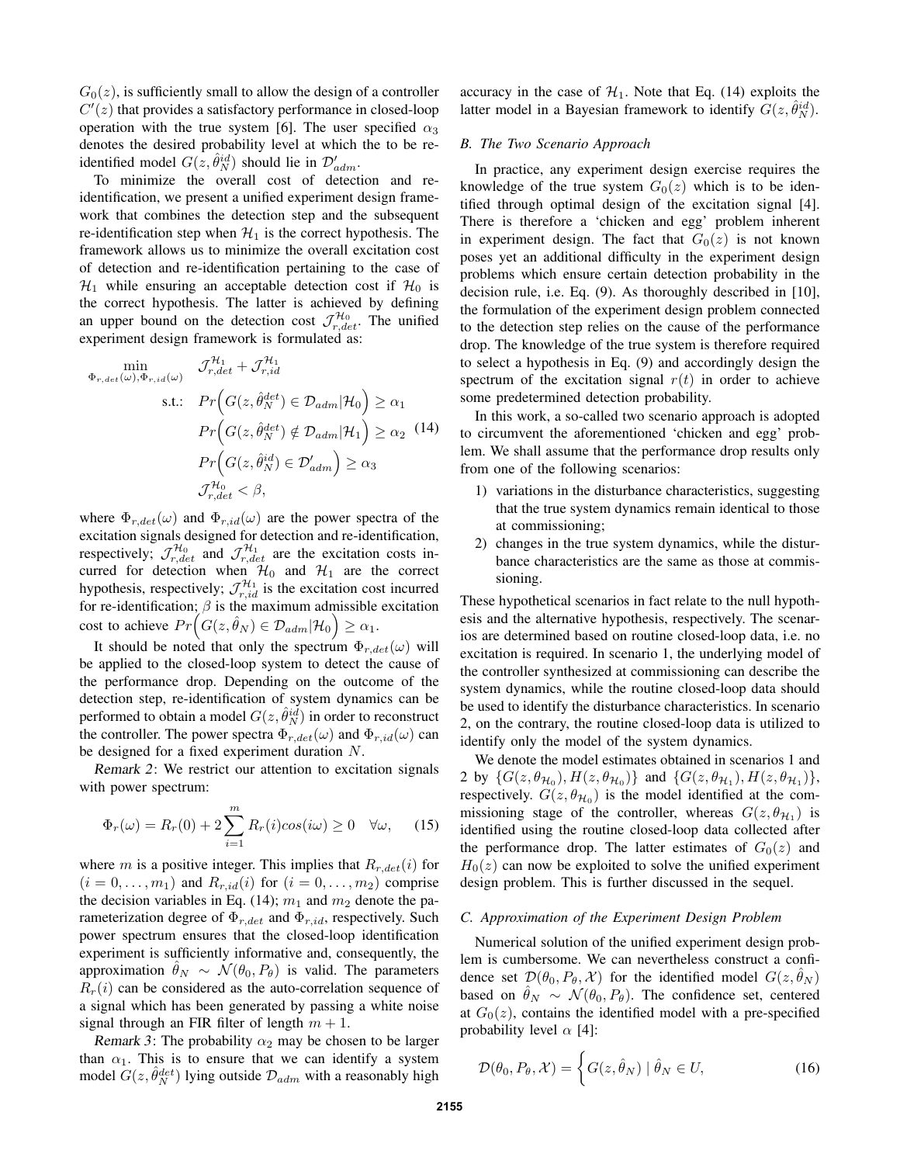$G<sub>0</sub>(z)$ , is sufficiently small to allow the design of a controller  $C'(z)$  that provides a satisfactory performance in closed-loop operation with the true system [6]. The user specified  $\alpha_3$ denotes the desired probability level at which the to be reidentified model  $G(z, \hat{\theta}_{N}^{id})$  should lie in  $\mathcal{D}_{adm}'$ .

To minimize the overall cost of detection and reidentification, we present a unified experiment design framework that combines the detection step and the subsequent re-identification step when  $\mathcal{H}_1$  is the correct hypothesis. The framework allows us to minimize the overall excitation cost of detection and re-identification pertaining to the case of  $\mathcal{H}_1$  while ensuring an acceptable detection cost if  $\mathcal{H}_0$  is the correct hypothesis. The latter is achieved by defining an upper bound on the detection cost  $\mathcal{J}^{\mathcal{H}_0}_{r,\text{det}}$ . The unified experiment design framework is formulated as:

$$
\min_{\Phi_{r, det}(\omega), \Phi_{r, id}(\omega)} \quad \mathcal{J}^{\mathcal{H}_1}_{r, det} + \mathcal{J}^{\mathcal{H}_1}_{r, id}
$$
\n
$$
\text{s.t.:} \quad Pr\Big(G(z, \hat{\theta}_N^{det}) \in \mathcal{D}_{adm} | \mathcal{H}_0\Big) \ge \alpha_1
$$
\n
$$
Pr\Big(G(z, \hat{\theta}_N^{det}) \notin \mathcal{D}_{adm} | \mathcal{H}_1\Big) \ge \alpha_2 \quad (14)
$$
\n
$$
Pr\Big(G(z, \hat{\theta}_N^{id}) \in \mathcal{D}'_{adm}\Big) \ge \alpha_3
$$
\n
$$
\mathcal{J}^{\mathcal{H}_0}_{r, det} < \beta,
$$

where  $\Phi_{r, det}(\omega)$  and  $\Phi_{r, id}(\omega)$  are the power spectra of the excitation signals designed for detection and re-identification, respectively;  $\mathcal{J}_{r,det}^{\mathcal{H}_0}$  and  $\mathcal{J}_{r,det}^{\mathcal{H}_1}$  are the excitation costs incurred for detection when  $\mathcal{H}_0$  and  $\mathcal{H}_1$  are the correct hypothesis, respectively;  $\mathcal{J}^{\mathcal{H}_1}_{r,id}$  is the excitation cost incurred for re-identification;  $\beta$  is the maximum admissible excitation cost to achieve  $Pr\left(G(z, \hat{\theta}_N) \in \mathcal{D}_{adm} | \mathcal{H}_0\right) \ge \alpha_1$ .

It should be noted that only the spectrum  $\Phi_{r,\det}(\omega)$  will be applied to the closed-loop system to detect the cause of the performance drop. Depending on the outcome of the detection step, re-identification of system dynamics can be performed to obtain a model  $G(z, \hat{\theta}_{N}^{id})$  in order to reconstruct the controller. The power spectra  $\Phi_{r, det}(\omega)$  and  $\Phi_{r, id}(\omega)$  can be designed for a fixed experiment duration N.

Remark 2: We restrict our attention to excitation signals with power spectrum:

$$
\Phi_r(\omega) = R_r(0) + 2 \sum_{i=1}^m R_r(i) \cos(i\omega) \ge 0 \quad \forall \omega,
$$
 (15)

where m is a positive integer. This implies that  $R_{r,det}(i)$  for  $(i = 0, \ldots, m_1)$  and  $R_{r, id}(i)$  for  $(i = 0, \ldots, m_2)$  comprise the decision variables in Eq. (14);  $m_1$  and  $m_2$  denote the parameterization degree of  $\Phi_{r, det}$  and  $\Phi_{r, id}$ , respectively. Such power spectrum ensures that the closed-loop identification experiment is sufficiently informative and, consequently, the approximation  $\hat{\theta}_N \sim \mathcal{N}(\theta_0, P_\theta)$  is valid. The parameters  $R_r(i)$  can be considered as the auto-correlation sequence of a signal which has been generated by passing a white noise signal through an FIR filter of length  $m + 1$ .

Remark 3: The probability  $\alpha_2$  may be chosen to be larger than  $\alpha_1$ . This is to ensure that we can identify a system model  $G(z, \hat{\theta}_{N}^{det})$  lying outside  $\mathcal{D}_{adm}$  with a reasonably high

accuracy in the case of  $\mathcal{H}_1$ . Note that Eq. (14) exploits the latter model in a Bayesian framework to identify  $G(z, \hat{\theta}_N^{id})$ .

## *B. The Two Scenario Approach*

In practice, any experiment design exercise requires the knowledge of the true system  $G_0(z)$  which is to be identified through optimal design of the excitation signal [4]. There is therefore a 'chicken and egg' problem inherent in experiment design. The fact that  $G_0(z)$  is not known poses yet an additional difficulty in the experiment design problems which ensure certain detection probability in the decision rule, i.e. Eq. (9). As thoroughly described in [10], the formulation of the experiment design problem connected to the detection step relies on the cause of the performance drop. The knowledge of the true system is therefore required to select a hypothesis in Eq. (9) and accordingly design the spectrum of the excitation signal  $r(t)$  in order to achieve some predetermined detection probability.

In this work, a so-called two scenario approach is adopted to circumvent the aforementioned 'chicken and egg' problem. We shall assume that the performance drop results only from one of the following scenarios:

- 1) variations in the disturbance characteristics, suggesting that the true system dynamics remain identical to those at commissioning;
- 2) changes in the true system dynamics, while the disturbance characteristics are the same as those at commissioning.

These hypothetical scenarios in fact relate to the null hypothesis and the alternative hypothesis, respectively. The scenarios are determined based on routine closed-loop data, i.e. no excitation is required. In scenario 1, the underlying model of the controller synthesized at commissioning can describe the system dynamics, while the routine closed-loop data should be used to identify the disturbance characteristics. In scenario 2, on the contrary, the routine closed-loop data is utilized to identify only the model of the system dynamics.

We denote the model estimates obtained in scenarios 1 and 2 by  $\{G(z, \theta_{\mathcal{H}_0}), H(z, \theta_{\mathcal{H}_0})\}$  and  $\{G(z, \theta_{\mathcal{H}_1}), H(z, \theta_{\mathcal{H}_1})\},$ respectively.  $G(z, \theta_{\mathcal{H}_0})$  is the model identified at the commissioning stage of the controller, whereas  $G(z, \theta_{\mathcal{H}_1})$  is identified using the routine closed-loop data collected after the performance drop. The latter estimates of  $G_0(z)$  and  $H<sub>0</sub>(z)$  can now be exploited to solve the unified experiment design problem. This is further discussed in the sequel.

#### *C. Approximation of the Experiment Design Problem*

Numerical solution of the unified experiment design problem is cumbersome. We can nevertheless construct a confidence set  $\mathcal{D}(\theta_0, P_\theta, \mathcal{X})$  for the identified model  $G(z, \theta_N)$ based on  $\hat{\theta}_N \sim \mathcal{N}(\theta_0, P_\theta)$ . The confidence set, centered at  $G<sub>0</sub>(z)$ , contains the identified model with a pre-specified probability level  $\alpha$  [4]:

$$
\mathcal{D}(\theta_0, P_\theta, \mathcal{X}) = \left\{ G(z, \hat{\theta}_N) \mid \hat{\theta}_N \in U, \right\}
$$
 (16)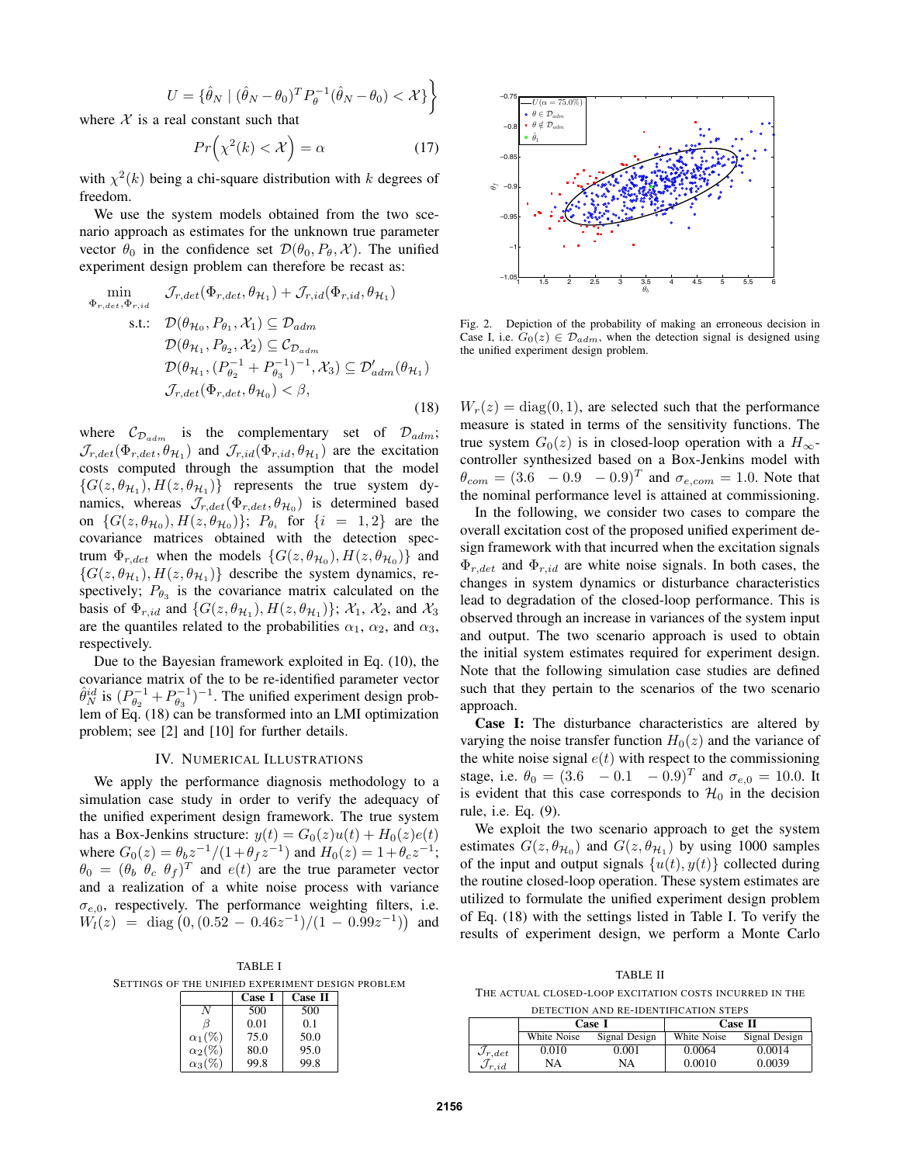$$
U = {\hat{\theta}_N \mid (\hat{\theta}_N - \theta_0)^T P_{\theta}^{-1}(\hat{\theta}_N - \theta_0) < \mathcal{X} }
$$

where  $X$  is a real constant such that

$$
Pr(\chi^2(k) < \mathcal{X}) = \alpha \tag{17}
$$

with  $\chi^2(k)$  being a chi-square distribution with k degrees of freedom.

We use the system models obtained from the two scenario approach as estimates for the unknown true parameter vector  $\theta_0$  in the confidence set  $\mathcal{D}(\theta_0, P_\theta, \mathcal{X})$ . The unified experiment design problem can therefore be recast as:

$$
\min_{\Phi_{r, det}, \Phi_{r, id}} \mathcal{J}_{r, det}(\Phi_{r, det}, \theta_{\mathcal{H}_1}) + \mathcal{J}_{r, id}(\Phi_{r, id}, \theta_{\mathcal{H}_1})
$$
\ns.t.: 
$$
\mathcal{D}(\theta_{\mathcal{H}_0}, P_{\theta_1}, \mathcal{X}_1) \subseteq \mathcal{D}_{adm}
$$
\n
$$
\mathcal{D}(\theta_{\mathcal{H}_1}, P_{\theta_2}, \mathcal{X}_2) \subseteq \mathcal{C}_{\mathcal{D}_{adm}}
$$
\n
$$
\mathcal{D}(\theta_{\mathcal{H}_1}, (P_{\theta_2}^{-1} + P_{\theta_3}^{-1})^{-1}, \mathcal{X}_3) \subseteq \mathcal{D}'_{adm}(\theta_{\mathcal{H}_1})
$$
\n
$$
\mathcal{J}_{r, det}(\Phi_{r, det}, \theta_{\mathcal{H}_0}) < \beta,
$$
\n(18)

where  $\mathcal{C}_{\mathcal{D}_{adm}}$  is the complementary set of  $\mathcal{D}_{adm}$ ;  $\mathcal{J}_{r,det}(\Phi_{r,det}, \theta_{H_1})$  and  $\mathcal{J}_{r,id}(\Phi_{r,id}, \theta_{H_1})$  are the excitation costs computed through the assumption that the model  $\{G(z, \theta_{\mathcal{H}_1}), H(z, \theta_{\mathcal{H}_1})\}$  represents the true system dynamics, whereas  $\mathcal{J}_{r, det}(\Phi_{r, det}, \theta_{\mathcal{H}_0})$  is determined based on  $\{G(z, \theta_{\mathcal{H}_0}), H(z, \theta_{\mathcal{H}_0})\}; P_{\theta_i}$  for  $\{i = 1, 2\}$  are the covariance matrices obtained with the detection spectrum  $\Phi_{r, det}$  when the models  $\{G(z, \theta_{\mathcal{H}_0}), H(z, \theta_{\mathcal{H}_0})\}$  and  $\{G(z, \theta_{\mathcal{H}_1}), H(z, \theta_{\mathcal{H}_1})\}$  describe the system dynamics, respectively;  $P_{\theta_3}$  is the covariance matrix calculated on the basis of  $\Phi_{r, id}$  and  $\{G(z, \theta_{\mathcal{H}_1}), H(z, \theta_{\mathcal{H}_1})\}; \mathcal{X}_1, \mathcal{X}_2$ , and  $\mathcal{X}_3$ are the quantiles related to the probabilities  $\alpha_1$ ,  $\alpha_2$ , and  $\alpha_3$ , respectively.

Due to the Bayesian framework exploited in Eq. (10), the covariance matrix of the to be re-identified parameter vector  $\hat{\theta}_N^{id}$  is  $(P_{\theta_2}^{-1} + P_{\theta_3}^{-1})^{-1}$ . The unified experiment design problem of Eq. (18) can be transformed into an LMI optimization problem; see [2] and [10] for further details.

#### IV. NUMERICAL ILLUSTRATIONS

We apply the performance diagnosis methodology to a simulation case study in order to verify the adequacy of the unified experiment design framework. The true system has a Box-Jenkins structure:  $y(t) = G_0(z)u(t) + H_0(z)e(t)$ where  $G_0(z) = \frac{\theta_b z^{-1}}{(1 + \theta_f z^{-1})}$  and  $H_0(z) = 1 + \theta_c z^{-1}$ ;  $\theta_0 = (\theta_b \ \theta_c \ \theta_f)^T$  and  $e(t)$  are the true parameter vector and a realization of a white noise process with variance  $\sigma_{e,0}$ , respectively. The performance weighting filters, i.e.  $W_l(z) = \text{diag}(0, (0.52 - 0.46z^{-1})/(1 - 0.99z^{-1}))$  and

TABLE I

SETTINGS OF THE UNIFIED EXPERIMENT DESIGN PROBLEM

|                | Case I | Case II |
|----------------|--------|---------|
|                | 500    | 500     |
|                | 0.01   | 0.1     |
| $\alpha_1(\%)$ | 75.0   | 50.0    |
| $\alpha_2(\%)$ | 80.0   | 95.0    |
| $\alpha_3(7)$  | 99.8   | 99.8    |



Fig. 2. Depiction of the probability of making an erroneous decision in Case I, i.e.  $G_0(z) \in \mathcal{D}_{adm}$ , when the detection signal is designed using the unified experiment design problem.

 $W_r(z) = \text{diag}(0, 1)$ , are selected such that the performance measure is stated in terms of the sensitivity functions. The true system  $G_0(z)$  is in closed-loop operation with a  $H_{\infty}$ controller synthesized based on a Box-Jenkins model with  $\theta_{com} = (3.6 - 0.9 - 0.9)^T$  and  $\sigma_{e,com} = 1.0$ . Note that the nominal performance level is attained at commissioning.

In the following, we consider two cases to compare the overall excitation cost of the proposed unified experiment design framework with that incurred when the excitation signals  $\Phi_{r,\text{det}}$  and  $\Phi_{r,\text{id}}$  are white noise signals. In both cases, the changes in system dynamics or disturbance characteristics lead to degradation of the closed-loop performance. This is observed through an increase in variances of the system input and output. The two scenario approach is used to obtain the initial system estimates required for experiment design. Note that the following simulation case studies are defined such that they pertain to the scenarios of the two scenario approach.

Case I: The disturbance characteristics are altered by varying the noise transfer function  $H_0(z)$  and the variance of the white noise signal  $e(t)$  with respect to the commissioning stage, i.e.  $\theta_0 = (3.6 - 0.1 - 0.9)^T$  and  $\sigma_{e,0} = 10.0$ . It is evident that this case corresponds to  $\mathcal{H}_0$  in the decision rule, i.e. Eq. (9).

We exploit the two scenario approach to get the system estimates  $G(z, \theta_{\mathcal{H}_0})$  and  $G(z, \theta_{\mathcal{H}_1})$  by using 1000 samples of the input and output signals  $\{u(t), y(t)\}\$ collected during the routine closed-loop operation. These system estimates are utilized to formulate the unified experiment design problem of Eq. (18) with the settings listed in Table I. To verify the results of experiment design, we perform a Monte Carlo

TABLE II THE ACTUAL CLOSED-LOOP EXCITATION COSTS INCURRED IN THE

| DETECTION AND RE-IDENTIFICATION STEPS |             |               |             |               |  |  |
|---------------------------------------|-------------|---------------|-------------|---------------|--|--|
|                                       | Case I      |               | Case II     |               |  |  |
|                                       | White Noise | Signal Design | White Noise | Signal Design |  |  |
| $\mathcal{J}_{r,\det}$                | 0.010       | 0.001         | 0.0064      | 0.0014        |  |  |
| $\mathcal{J}_{r.id}$                  | NA          | NA            | 0.0010      | 0.0039        |  |  |